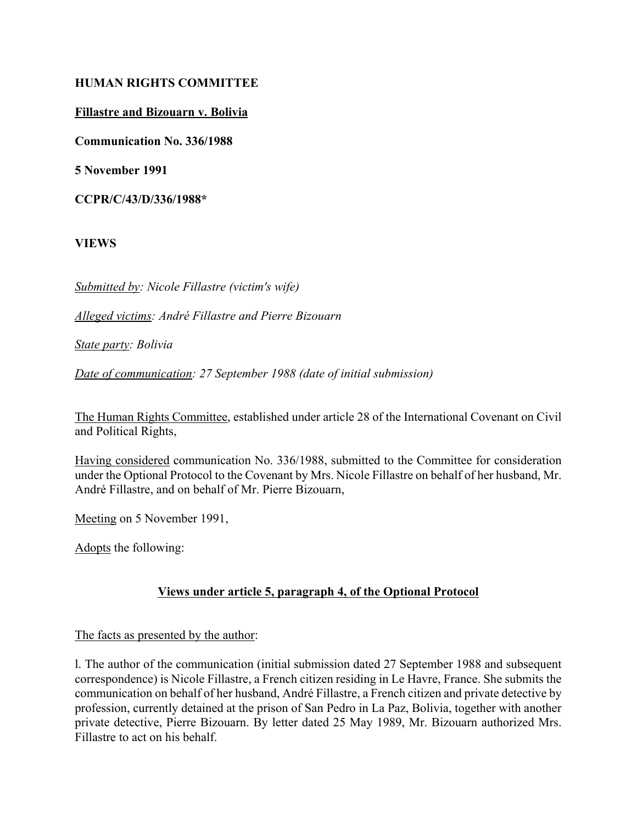#### **HUMAN RIGHTS COMMITTEE**

#### **Fillastre and Bizouarn v. Bolivia**

**Communication No. 336/1988**

**5 November 1991**

**CCPR/C/43/D/336/1988\***

**VIEWS**

*Submitted by: Nicole Fillastre (victim's wife)*

*Alleged victims: AndrÈ Fillastre and Pierre Bizouarn*

*State party: Bolivia*

*Date of communication: 27 September 1988 (date of initial submission)*

The Human Rights Committee, established under article 28 of the International Covenant on Civil and Political Rights,

Having considered communication No. 336/1988, submitted to the Committee for consideration under the Optional Protocol to the Covenant by Mrs. Nicole Fillastre on behalf of her husband, Mr. André Fillastre, and on behalf of Mr. Pierre Bizouarn,

Meeting on 5 November 1991,

Adopts the following:

# **Views under article 5, paragraph 4, of the Optional Protocol**

#### The facts as presented by the author:

l. The author of the communication (initial submission dated 27 September 1988 and subsequent correspondence) is Nicole Fillastre, a French citizen residing in Le Havre, France. She submits the communication on behalf of her husband, André Fillastre, a French citizen and private detective by profession, currently detained at the prison of San Pedro in La Paz, Bolivia, together with another private detective, Pierre Bizouarn. By letter dated 25 May 1989, Mr. Bizouarn authorized Mrs. Fillastre to act on his behalf.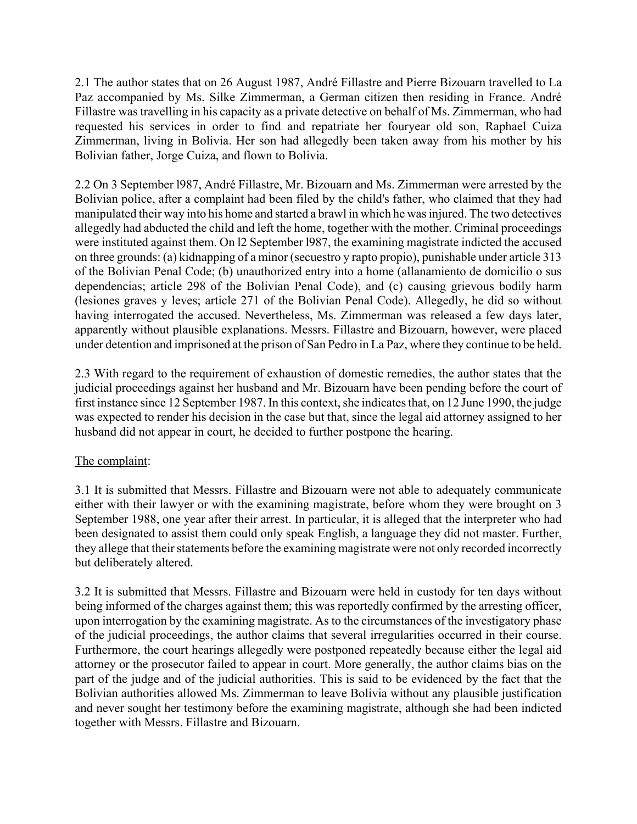2.1 The author states that on 26 August 1987, André Fillastre and Pierre Bizouarn travelled to La Paz accompanied by Ms. Silke Zimmerman, a German citizen then residing in France. André Fillastre was travelling in his capacity as a private detective on behalf of Ms. Zimmerman, who had requested his services in order to find and repatriate her fouryear old son, Raphael Cuiza Zimmerman, living in Bolivia. Her son had allegedly been taken away from his mother by his Bolivian father, Jorge Cuiza, and flown to Bolivia.

2.2 On 3 September 1987, André Fillastre, Mr. Bizouarn and Ms. Zimmerman were arrested by the Bolivian police, after a complaint had been filed by the child's father, who claimed that they had manipulated their way into his home and started a brawl in which he was injured. The two detectives allegedly had abducted the child and left the home, together with the mother. Criminal proceedings were instituted against them. On l2 September l987, the examining magistrate indicted the accused on three grounds: (a) kidnapping of a minor (secuestro y rapto propio), punishable under article 313 of the Bolivian Penal Code; (b) unauthorized entry into a home (allanamiento de domicilio o sus dependencias; article 298 of the Bolivian Penal Code), and (c) causing grievous bodily harm (lesiones graves y leves; article 271 of the Bolivian Penal Code). Allegedly, he did so without having interrogated the accused. Nevertheless, Ms. Zimmerman was released a few days later, apparently without plausible explanations. Messrs. Fillastre and Bizouarn, however, were placed under detention and imprisoned at the prison of San Pedro in La Paz, where they continue to be held.

2.3 With regard to the requirement of exhaustion of domestic remedies, the author states that the judicial proceedings against her husband and Mr. Bizouarn have been pending before the court of first instance since 12 September 1987. In this context, she indicates that, on 12 June 1990, the judge was expected to render his decision in the case but that, since the legal aid attorney assigned to her husband did not appear in court, he decided to further postpone the hearing.

# The complaint:

3.1 It is submitted that Messrs. Fillastre and Bizouarn were not able to adequately communicate either with their lawyer or with the examining magistrate, before whom they were brought on 3 September 1988, one year after their arrest. In particular, it is alleged that the interpreter who had been designated to assist them could only speak English, a language they did not master. Further, they allege that their statements before the examining magistrate were not only recorded incorrectly but deliberately altered.

3.2 It is submitted that Messrs. Fillastre and Bizouarn were held in custody for ten days without being informed of the charges against them; this was reportedly confirmed by the arresting officer, upon interrogation by the examining magistrate. As to the circumstances of the investigatory phase of the judicial proceedings, the author claims that several irregularities occurred in their course. Furthermore, the court hearings allegedly were postponed repeatedly because either the legal aid attorney or the prosecutor failed to appear in court. More generally, the author claims bias on the part of the judge and of the judicial authorities. This is said to be evidenced by the fact that the Bolivian authorities allowed Ms. Zimmerman to leave Bolivia without any plausible justification and never sought her testimony before the examining magistrate, although she had been indicted together with Messrs. Fillastre and Bizouarn.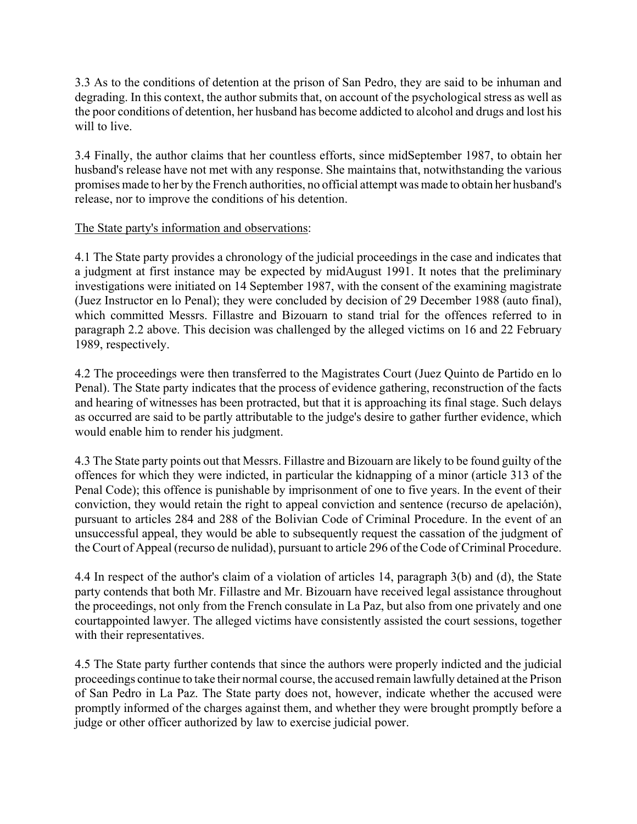3.3 As to the conditions of detention at the prison of San Pedro, they are said to be inhuman and degrading. In this context, the author submits that, on account of the psychological stress as well as the poor conditions of detention, her husband has become addicted to alcohol and drugs and lost his will to live.

3.4 Finally, the author claims that her countless efforts, since midSeptember 1987, to obtain her husband's release have not met with any response. She maintains that, notwithstanding the various promises made to her by the French authorities, no official attempt was made to obtain her husband's release, nor to improve the conditions of his detention.

# The State party's information and observations:

4.1 The State party provides a chronology of the judicial proceedings in the case and indicates that a judgment at first instance may be expected by midAugust 1991. It notes that the preliminary investigations were initiated on 14 September 1987, with the consent of the examining magistrate (Juez Instructor en lo Penal); they were concluded by decision of 29 December 1988 (auto final), which committed Messrs. Fillastre and Bizouarn to stand trial for the offences referred to in paragraph 2.2 above. This decision was challenged by the alleged victims on 16 and 22 February 1989, respectively.

4.2 The proceedings were then transferred to the Magistrates Court (Juez Quinto de Partido en lo Penal). The State party indicates that the process of evidence gathering, reconstruction of the facts and hearing of witnesses has been protracted, but that it is approaching its final stage. Such delays as occurred are said to be partly attributable to the judge's desire to gather further evidence, which would enable him to render his judgment.

4.3 The State party points out that Messrs. Fillastre and Bizouarn are likely to be found guilty of the offences for which they were indicted, in particular the kidnapping of a minor (article 313 of the Penal Code); this offence is punishable by imprisonment of one to five years. In the event of their conviction, they would retain the right to appeal conviction and sentence (recurso de apelación), pursuant to articles 284 and 288 of the Bolivian Code of Criminal Procedure. In the event of an unsuccessful appeal, they would be able to subsequently request the cassation of the judgment of the Court of Appeal (recurso de nulidad), pursuant to article 296 of the Code of Criminal Procedure.

4.4 In respect of the author's claim of a violation of articles 14, paragraph 3(b) and (d), the State party contends that both Mr. Fillastre and Mr. Bizouarn have received legal assistance throughout the proceedings, not only from the French consulate in La Paz, but also from one privately and one courtappointed lawyer. The alleged victims have consistently assisted the court sessions, together with their representatives.

4.5 The State party further contends that since the authors were properly indicted and the judicial proceedings continue to take their normal course, the accused remain lawfully detained at the Prison of San Pedro in La Paz. The State party does not, however, indicate whether the accused were promptly informed of the charges against them, and whether they were brought promptly before a judge or other officer authorized by law to exercise judicial power.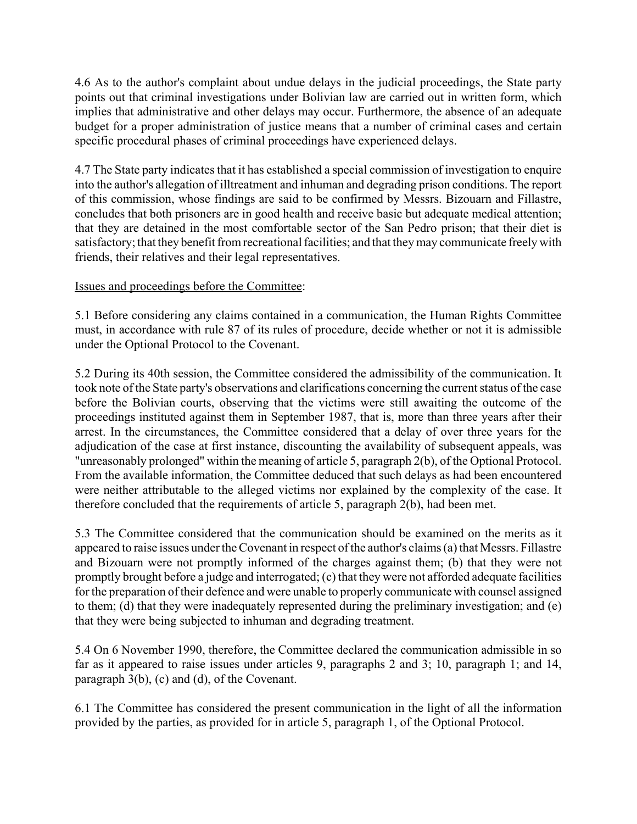4.6 As to the author's complaint about undue delays in the judicial proceedings, the State party points out that criminal investigations under Bolivian law are carried out in written form, which implies that administrative and other delays may occur. Furthermore, the absence of an adequate budget for a proper administration of justice means that a number of criminal cases and certain specific procedural phases of criminal proceedings have experienced delays.

4.7 The State party indicates that it has established a special commission of investigation to enquire into the author's allegation of illtreatment and inhuman and degrading prison conditions. The report of this commission, whose findings are said to be confirmed by Messrs. Bizouarn and Fillastre, concludes that both prisoners are in good health and receive basic but adequate medical attention; that they are detained in the most comfortable sector of the San Pedro prison; that their diet is satisfactory; that they benefit from recreational facilities; and that they may communicate freely with friends, their relatives and their legal representatives.

# Issues and proceedings before the Committee:

5.1 Before considering any claims contained in a communication, the Human Rights Committee must, in accordance with rule 87 of its rules of procedure, decide whether or not it is admissible under the Optional Protocol to the Covenant.

5.2 During its 40th session, the Committee considered the admissibility of the communication. It took note of the State party's observations and clarifications concerning the current status of the case before the Bolivian courts, observing that the victims were still awaiting the outcome of the proceedings instituted against them in September 1987, that is, more than three years after their arrest. In the circumstances, the Committee considered that a delay of over three years for the adjudication of the case at first instance, discounting the availability of subsequent appeals, was "unreasonably prolonged" within the meaning of article 5, paragraph 2(b), of the Optional Protocol. From the available information, the Committee deduced that such delays as had been encountered were neither attributable to the alleged victims nor explained by the complexity of the case. It therefore concluded that the requirements of article 5, paragraph 2(b), had been met.

5.3 The Committee considered that the communication should be examined on the merits as it appeared to raise issues under the Covenant in respect of the author's claims (a) that Messrs. Fillastre and Bizouarn were not promptly informed of the charges against them; (b) that they were not promptly brought before a judge and interrogated; (c) that they were not afforded adequate facilities for the preparation of their defence and were unable to properly communicate with counsel assigned to them; (d) that they were inadequately represented during the preliminary investigation; and (e) that they were being subjected to inhuman and degrading treatment.

5.4 On 6 November 1990, therefore, the Committee declared the communication admissible in so far as it appeared to raise issues under articles 9, paragraphs 2 and 3; 10, paragraph 1; and 14, paragraph 3(b), (c) and (d), of the Covenant.

6.1 The Committee has considered the present communication in the light of all the information provided by the parties, as provided for in article 5, paragraph 1, of the Optional Protocol.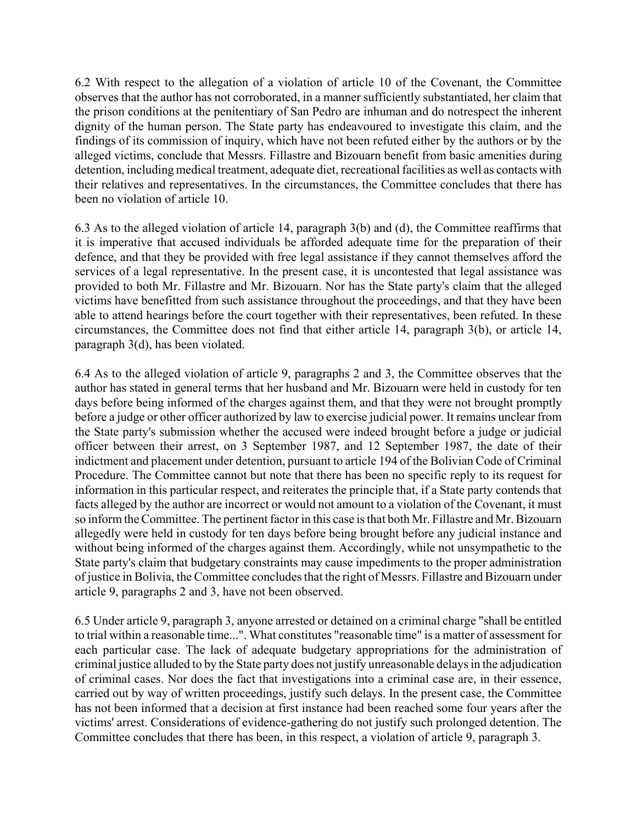6.2 With respect to the allegation of a violation of article 10 of the Covenant, the Committee observes that the author has not corroborated, in a manner sufficiently substantiated, her claim that the prison conditions at the penitentiary of San Pedro are inhuman and do notrespect the inherent dignity of the human person. The State party has endeavoured to investigate this claim, and the findings of its commission of inquiry, which have not been refuted either by the authors or by the alleged victims, conclude that Messrs. Fillastre and Bizouarn benefit from basic amenities during detention, including medical treatment, adequate diet, recreational facilities as well as contacts with their relatives and representatives. In the circumstances, the Committee concludes that there has been no violation of article 10.

6.3 As to the alleged violation of article 14, paragraph 3(b) and (d), the Committee reaffirms that it is imperative that accused individuals be afforded adequate time for the preparation of their defence, and that they be provided with free legal assistance if they cannot themselves afford the services of a legal representative. In the present case, it is uncontested that legal assistance was provided to both Mr. Fillastre and Mr. Bizouarn. Nor has the State party's claim that the alleged victims have benefitted from such assistance throughout the proceedings, and that they have been able to attend hearings before the court together with their representatives, been refuted. In these circumstances, the Committee does not find that either article 14, paragraph 3(b), or article 14, paragraph 3(d), has been violated.

6.4 As to the alleged violation of article 9, paragraphs 2 and 3, the Committee observes that the author has stated in general terms that her husband and Mr. Bizouarn were held in custody for ten days before being informed of the charges against them, and that they were not brought promptly before a judge or other officer authorized by law to exercise judicial power. It remains unclear from the State party's submission whether the accused were indeed brought before a judge or judicial officer between their arrest, on 3 September 1987, and 12 September 1987, the date of their indictment and placement under detention, pursuant to article 194 of the Bolivian Code of Criminal Procedure. The Committee cannot but note that there has been no specific reply to its request for information in this particular respect, and reiterates the principle that, if a State party contends that facts alleged by the author are incorrect or would not amount to a violation of the Covenant, it must so inform the Committee. The pertinent factor in this case is that both Mr. Fillastre and Mr. Bizouarn allegedly were held in custody for ten days before being brought before any judicial instance and without being informed of the charges against them. Accordingly, while not unsympathetic to the State party's claim that budgetary constraints may cause impediments to the proper administration of justice in Bolivia, the Committee concludes that the right of Messrs. Fillastre and Bizouarn under article 9, paragraphs 2 and 3, have not been observed.

6.5 Under article 9, paragraph 3, anyone arrested or detained on a criminal charge "shall be entitled to trial within a reasonable time...". What constitutes "reasonable time" is a matter of assessment for each particular case. The lack of adequate budgetary appropriations for the administration of criminal justice alluded to by the State party does not justify unreasonable delays in the adjudication of criminal cases. Nor does the fact that investigations into a criminal case are, in their essence, carried out by way of written proceedings, justify such delays. In the present case, the Committee has not been informed that a decision at first instance had been reached some four years after the victims' arrest. Considerations of evidence-gathering do not justify such prolonged detention. The Committee concludes that there has been, in this respect, a violation of article 9, paragraph 3.